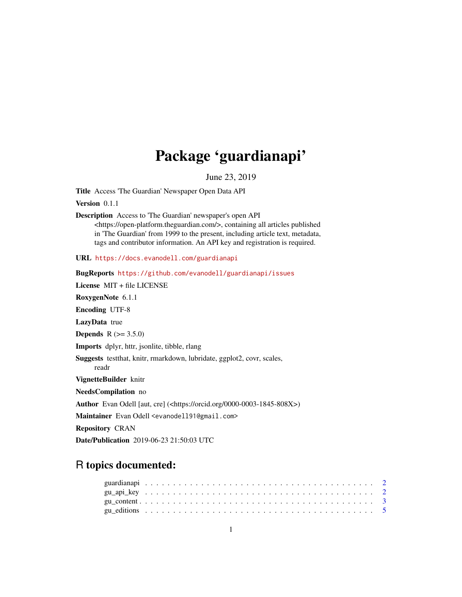## Package 'guardianapi'

June 23, 2019

Title Access 'The Guardian' Newspaper Open Data API

Version 0.1.1

Description Access to 'The Guardian' newspaper's open API

<https://open-platform.theguardian.com/>, containing all articles published in 'The Guardian' from 1999 to the present, including article text, metadata, tags and contributor information. An API key and registration is required.

URL <https://docs.evanodell.com/guardianapi>

BugReports <https://github.com/evanodell/guardianapi/issues> License MIT + file LICENSE RoxygenNote 6.1.1 Encoding UTF-8 LazyData true **Depends**  $R (= 3.5.0)$ Imports dplyr, httr, jsonlite, tibble, rlang Suggests testthat, knitr, rmarkdown, lubridate, ggplot2, covr, scales, readr VignetteBuilder knitr NeedsCompilation no Author Evan Odell [aut, cre] (<https://orcid.org/0000-0003-1845-808X>) Maintainer Evan Odell <evanodell91@gmail.com> Repository CRAN Date/Publication 2019-06-23 21:50:03 UTC

### R topics documented: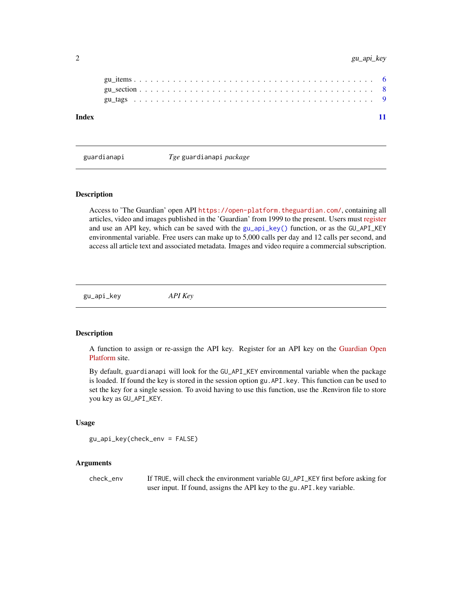#### <span id="page-1-0"></span>2 gu\_api\_key

guardianapi *Tge* guardianapi *package*

#### Description

Access to 'The Guardian' open API <https://open-platform.theguardian.com/>, containing all articles, video and images published in the 'Guardian' from 1999 to the present. Users must [register](https://open-platform.theguardian.com/access/) and use an API key, which can be saved with the [gu\\_api\\_key\(\)](#page-1-1) function, or as the GU\_API\_KEY environmental variable. Free users can make up to 5,000 calls per day and 12 calls per second, and access all article text and associated metadata. Images and video require a commercial subscription.

<span id="page-1-1"></span>gu\_api\_key *API Key*

#### Description

A function to assign or re-assign the API key. Register for an API key on the [Guardian Open](https://open-platform.theguardian.com/access/) [Platform](https://open-platform.theguardian.com/access/) site.

By default, guardianapi will look for the GU\_API\_KEY environmental variable when the package is loaded. If found the key is stored in the session option gu.API.key. This function can be used to set the key for a single session. To avoid having to use this function, use the .Renviron file to store you key as GU\_API\_KEY.

#### Usage

```
gu_api_key(check_env = FALSE)
```
#### Arguments

check\_env If TRUE, will check the environment variable GU\_API\_KEY first before asking for user input. If found, assigns the API key to the gu.API.key variable.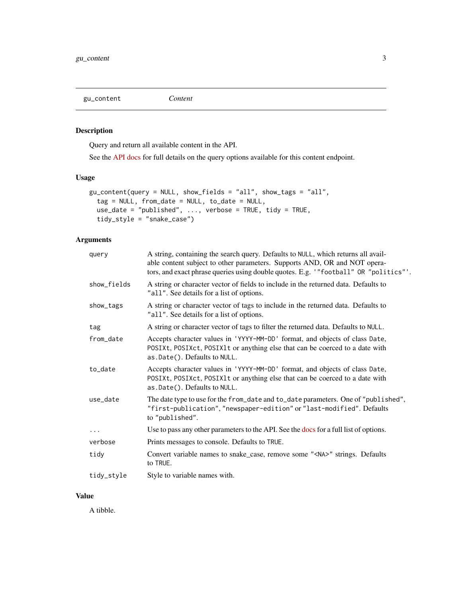<span id="page-2-0"></span>gu\_content *Content*

#### Description

Query and return all available content in the API.

See the [API docs](https://open-platform.theguardian.com/documentation/search) for full details on the query options available for this content endpoint.

#### Usage

```
gu_content(query = NULL, show_fields = "all", show_tags = "all",
  tag = NULL, from_date = NULL, to_date = NULL,
 use_date = "published", ..., verbose = TRUE, tidy = TRUE,
  tidy_style = "snake_case")
```
#### Arguments

| query       | A string, containing the search query. Defaults to NULL, which returns all avail-<br>able content subject to other parameters. Supports AND, OR and NOT opera-<br>tors, and exact phrase queries using double quotes. E.g. '"football" OR "politics"'. |
|-------------|--------------------------------------------------------------------------------------------------------------------------------------------------------------------------------------------------------------------------------------------------------|
| show_fields | A string or character vector of fields to include in the returned data. Defaults to<br>"all". See details for a list of options.                                                                                                                       |
| show_tags   | A string or character vector of tags to include in the returned data. Defaults to<br>"all". See details for a list of options.                                                                                                                         |
| tag         | A string or character vector of tags to filter the returned data. Defaults to NULL.                                                                                                                                                                    |
| from_date   | Accepts character values in 'YYYY-MM-DD' format, and objects of class Date,<br>POSIXt, POSIXct, POSIX1t or anything else that can be coerced to a date with<br>as.Date(). Defaults to NULL.                                                            |
| to_date     | Accepts character values in 'YYYY-MM-DD' format, and objects of class Date,<br>POSIXt, POSIXct, POSIX1t or anything else that can be coerced to a date with<br>as.Date(). Defaults to NULL.                                                            |
| use_date    | The date type to use for the from_date and to_date parameters. One of "published",<br>"first-publication", "newspaper-edition" or "last-modified". Defaults<br>to "published".                                                                         |
| $\cdots$    | Use to pass any other parameters to the API. See the docs for a full list of options.                                                                                                                                                                  |
| verbose     | Prints messages to console. Defaults to TRUE.                                                                                                                                                                                                          |
| tidy        | Convert variable names to snake_case, remove some " <na>" strings. Defaults<br/>to TRUE.</na>                                                                                                                                                          |
| tidy_style  | Style to variable names with.                                                                                                                                                                                                                          |

#### Value

A tibble.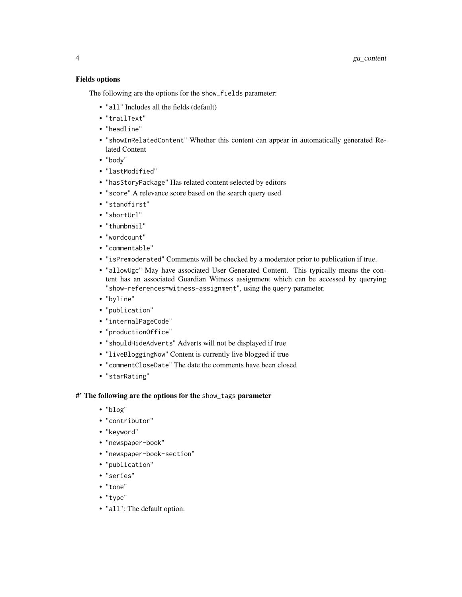#### Fields options

The following are the options for the show\_fields parameter:

- "all" Includes all the fields (default)
- "trailText"
- "headline"
- "showInRelatedContent" Whether this content can appear in automatically generated Related Content
- "body"
- "lastModified"
- "hasStoryPackage" Has related content selected by editors
- "score" A relevance score based on the search query used
- "standfirst"
- "shortUrl"
- "thumbnail"
- "wordcount"
- "commentable"
- "isPremoderated" Comments will be checked by a moderator prior to publication if true.
- "allowUgc" May have associated User Generated Content. This typically means the content has an associated Guardian Witness assignment which can be accessed by querying "show-references=witness-assignment", using the query parameter.
- "byline"
- "publication"
- "internalPageCode"
- "productionOffice"
- "shouldHideAdverts" Adverts will not be displayed if true
- "liveBloggingNow" Content is currently live blogged if true
- "commentCloseDate" The date the comments have been closed
- "starRating"

#### #' The following are the options for the show\_tags parameter

- "blog"
- "contributor"
- "keyword"
- "newspaper-book"
- "newspaper-book-section"
- "publication"
- "series"
- "tone"
- "type"
- "all": The default option.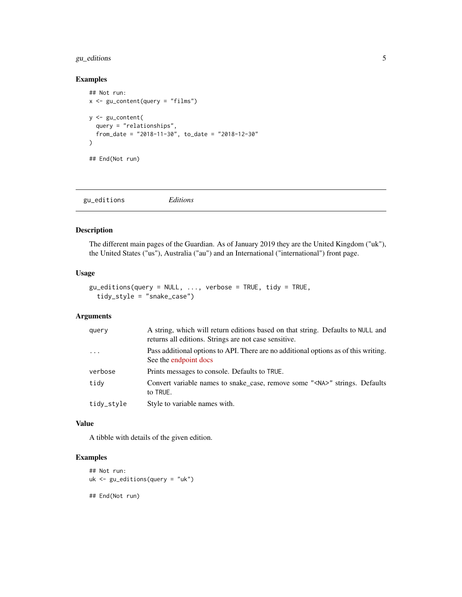#### <span id="page-4-0"></span>gu\_editions 5

#### Examples

```
## Not run:
x <- gu_content(query = "films")
y <- gu_content(
  query = "relationships",
  from_date = "2018-11-30", to_date = "2018-12-30"
\lambda## End(Not run)
```

| Editions<br>gu_editions |
|-------------------------|
|-------------------------|

#### Description

The different main pages of the Guardian. As of January 2019 they are the United Kingdom ("uk"), the United States ("us"), Australia ("au") and an International ("international") front page.

#### Usage

```
gu_{editions(query = NULL, ..., verbose = TRUE, tidy = TRUE,tidy_style = "snake_case")
```
#### Arguments

| query      | A string, which will return editions based on that string. Defaults to NULL and<br>returns all editions. Strings are not case sensitive. |
|------------|------------------------------------------------------------------------------------------------------------------------------------------|
| $\cdots$   | Pass additional options to API. There are no additional options as of this writing.<br>See the endpoint docs                             |
| verbose    | Prints messages to console. Defaults to TRUE.                                                                                            |
| tidy       | Convert variable names to snake case, remove some " <na>" strings. Defaults<br/>to TRUE.</na>                                            |
| tidy_style | Style to variable names with.                                                                                                            |

#### Value

A tibble with details of the given edition.

#### Examples

```
## Not run:
uk <- gu_editions(query = "uk")
## End(Not run)
```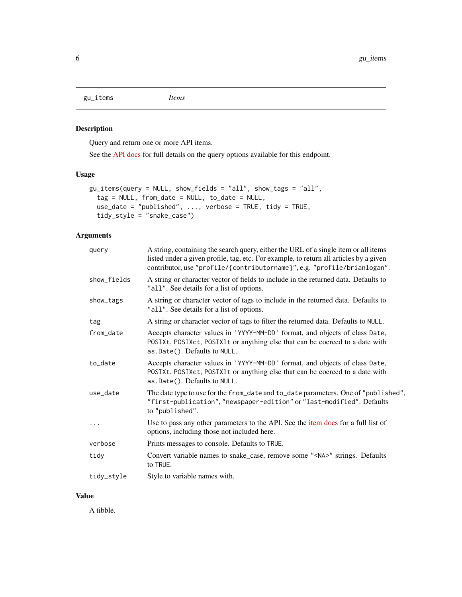<span id="page-5-0"></span>gu\_items *Items*

#### Description

Query and return one or more API items.

See the [API docs](https://open-platform.theguardian.com/documentation/item) for full details on the query options available for this endpoint.

#### Usage

```
gu_items(query = NULL, show_fields = "all", show_tags = "all",
  tag = NULL, from_date = NULL, to_date = NULL,
 use_date = "published", ..., verbose = TRUE, tidy = TRUE,
  tidy_style = "snake_case")
```
#### Arguments

| query       | A string, containing the search query, either the URL of a single item or all items<br>listed under a given profile, tag, etc. For example, to return all articles by a given<br>contributor, use "profile/{contributorname}", e.g. "profile/brianlogan". |
|-------------|-----------------------------------------------------------------------------------------------------------------------------------------------------------------------------------------------------------------------------------------------------------|
| show_fields | A string or character vector of fields to include in the returned data. Defaults to<br>"all". See details for a list of options.                                                                                                                          |
| show_tags   | A string or character vector of tags to include in the returned data. Defaults to<br>"all". See details for a list of options.                                                                                                                            |
| tag         | A string or character vector of tags to filter the returned data. Defaults to NULL.                                                                                                                                                                       |
| from_date   | Accepts character values in 'YYYY-MM-DD' format, and objects of class Date,<br>POSIXt, POSIXct, POSIX1t or anything else that can be coerced to a date with<br>as.Date(). Defaults to NULL.                                                               |
| to_date     | Accepts character values in 'YYYY-MM-DD' format, and objects of class Date,<br>POSIXt, POSIXct, POSIX1t or anything else that can be coerced to a date with<br>as.Date(). Defaults to NULL.                                                               |
| use_date    | The date type to use for the from_date and to_date parameters. One of "published",<br>"first-publication", "newspaper-edition" or "last-modified". Defaults<br>to "published".                                                                            |
| .           | Use to pass any other parameters to the API. See the item docs for a full list of<br>options, including those not included here.                                                                                                                          |
| verbose     | Prints messages to console. Defaults to TRUE.                                                                                                                                                                                                             |
| tidy        | Convert variable names to snake_case, remove some " <na>" strings. Defaults<br/>to TRUE.</na>                                                                                                                                                             |
| tidy_style  | Style to variable names with.                                                                                                                                                                                                                             |

#### Value

A tibble.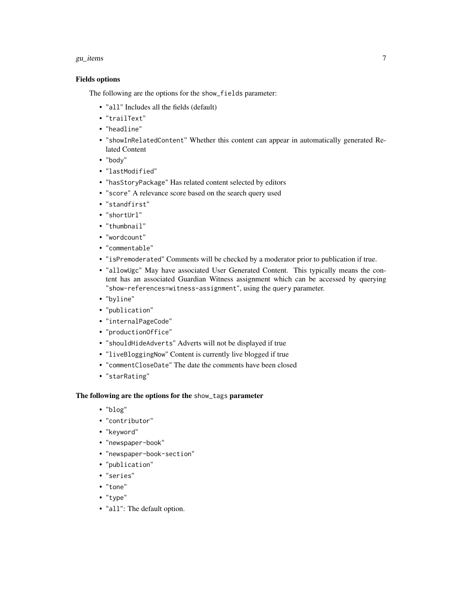#### gu $\mu$ items  $\sim$  7

#### Fields options

The following are the options for the show\_fields parameter:

- "all" Includes all the fields (default)
- "trailText"
- "headline"
- "showInRelatedContent" Whether this content can appear in automatically generated Related Content
- "body"
- "lastModified"
- "hasStoryPackage" Has related content selected by editors
- "score" A relevance score based on the search query used
- "standfirst"
- "shortUrl"
- "thumbnail"
- "wordcount"
- "commentable"
- "isPremoderated" Comments will be checked by a moderator prior to publication if true.
- "allowUgc" May have associated User Generated Content. This typically means the content has an associated Guardian Witness assignment which can be accessed by querying "show-references=witness-assignment", using the query parameter.
- "byline"
- "publication"
- "internalPageCode"
- "productionOffice"
- "shouldHideAdverts" Adverts will not be displayed if true
- "liveBloggingNow" Content is currently live blogged if true
- "commentCloseDate" The date the comments have been closed
- "starRating"

#### The following are the options for the show\_tags parameter

- "blog"
- "contributor"
- "keyword"
- "newspaper-book"
- "newspaper-book-section"
- "publication"
- "series"
- "tone"
- "type"
- "all": The default option.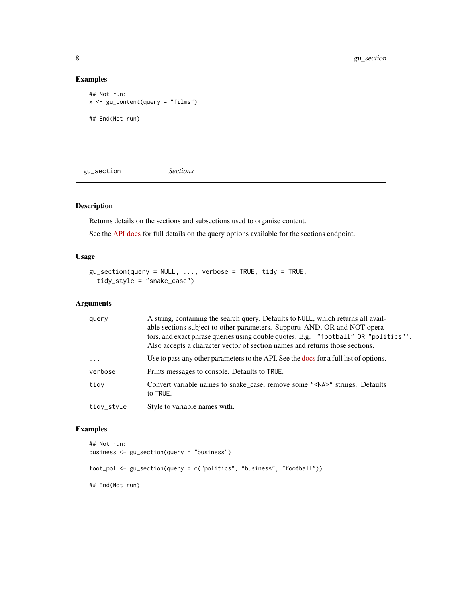#### Examples

```
## Not run:
x <- gu_content(query = "films")
## End(Not run)
```
gu\_section *Sections*

#### Description

Returns details on the sections and subsections used to organise content.

See the [API docs](https://open-platform.theguardian.com/documentation/section) for full details on the query options available for the sections endpoint.

#### Usage

```
gu\_section(query = NULL, \dots, verbose = TRUE, tidy = TRUE,
  tidy_style = "snake_case")
```
#### Arguments

| query      | A string, containing the search query. Defaults to NULL, which returns all avail-<br>able sections subject to other parameters. Supports AND, OR and NOT opera-<br>tors, and exact phrase queries using double quotes. E.g. '"football" OR "politics"'.<br>Also accepts a character vector of section names and returns those sections. |
|------------|-----------------------------------------------------------------------------------------------------------------------------------------------------------------------------------------------------------------------------------------------------------------------------------------------------------------------------------------|
| $\ddots$ . | Use to pass any other parameters to the API. See the docs for a full list of options.                                                                                                                                                                                                                                                   |
| verbose    | Prints messages to console. Defaults to TRUE.                                                                                                                                                                                                                                                                                           |
| tidy       | Convert variable names to snake_case, remove some " <na>" strings. Defaults<br/>to TRUE.</na>                                                                                                                                                                                                                                           |
| tidy_style | Style to variable names with.                                                                                                                                                                                                                                                                                                           |

#### Examples

```
## Not run:
business <- gu_section(query = "business")
foot_pol <- gu_section(query = c("politics", "business", "football"))
## End(Not run)
```
<span id="page-7-0"></span>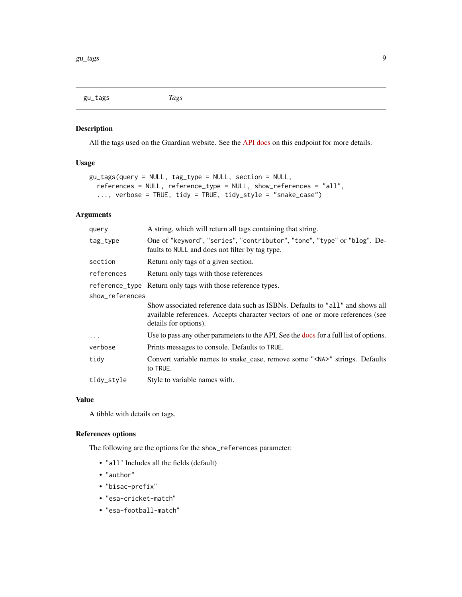<span id="page-8-0"></span>gu\_tags *Tags*

#### Description

All the tags used on the Guardian website. See the [API docs](https://open-platform.theguardian.com/documentation/tag) on this endpoint for more details.

#### Usage

```
gu_tags(query = NULL, tag_type = NULL, section = NULL,
  references = NULL, reference_type = NULL, show_references = "all",
  ..., verbose = TRUE, tidy = TRUE, tidy_style = "snake_case")
```
#### Arguments

| query           | A string, which will return all tags containing that string.                                                                                                                             |
|-----------------|------------------------------------------------------------------------------------------------------------------------------------------------------------------------------------------|
| tag_type        | One of "keyword", "series", "contributor", "tone", "type" or "blog". De-<br>faults to NULL and does not filter by tag type.                                                              |
| section         | Return only tags of a given section.                                                                                                                                                     |
| references      | Return only tags with those references                                                                                                                                                   |
|                 | reference_type Return only tags with those reference types.                                                                                                                              |
| show_references |                                                                                                                                                                                          |
|                 | Show associated reference data such as ISBNs. Defaults to "all" and shows all<br>available references. Accepts character vectors of one or more references (see<br>details for options). |
| $\cdots$        | Use to pass any other parameters to the API. See the docs for a full list of options.                                                                                                    |
| verbose         | Prints messages to console. Defaults to TRUE.                                                                                                                                            |
| tidy            | Convert variable names to snake_case, remove some " <na>" strings. Defaults<br/>to TRUE.</na>                                                                                            |
| tidy_style      | Style to variable names with.                                                                                                                                                            |
|                 |                                                                                                                                                                                          |

#### Value

A tibble with details on tags.

#### References options

The following are the options for the show\_references parameter:

- "all" Includes all the fields (default)
- "author"
- "bisac-prefix"
- "esa-cricket-match"
- "esa-football-match"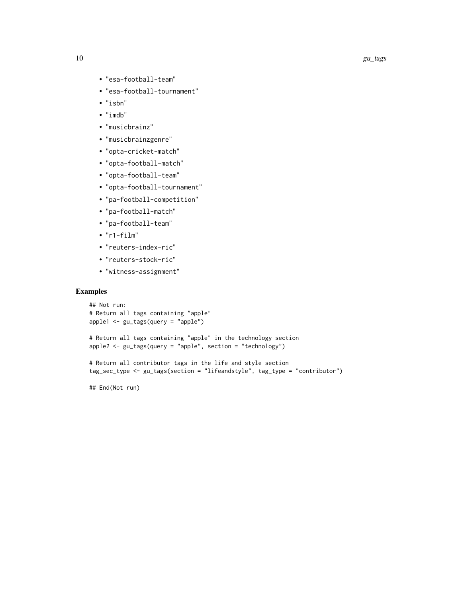- "esa-football-team"
- "esa-football-tournament"
- "isbn"
- "imdb"
- "musicbrainz"
- "musicbrainzgenre"
- "opta-cricket-match"
- "opta-football-match"
- "opta-football-team"
- "opta-football-tournament"
- "pa-football-competition"
- "pa-football-match"
- "pa-football-team"
- "r1-film"
- "reuters-index-ric"
- "reuters-stock-ric"
- "witness-assignment"

#### Examples

```
## Not run:
# Return all tags containing "apple"
apple1 <- gu_tags(query = "apple")
# Return all tags containing "apple" in the technology section
apple2 \leq gu_tags(query = "apple", section = "technology")
# Return all contributor tags in the life and style section
tag_sec_type <- gu_tags(section = "lifeandstyle", tag_type = "contributor")
## End(Not run)
```